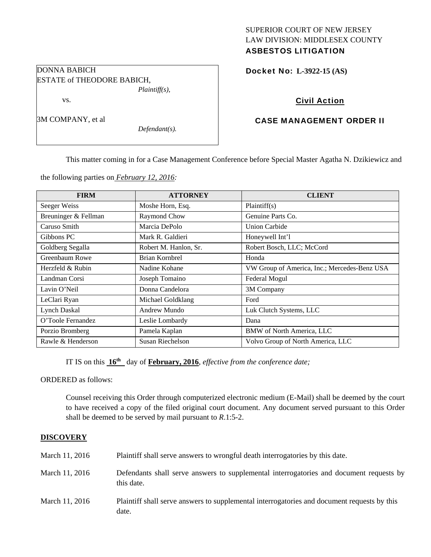## SUPERIOR COURT OF NEW JERSEY LAW DIVISION: MIDDLESEX COUNTY ASBESTOS LITIGATION

Docket No: **L-3922-15 (AS)** 

# Civil Action

## CASE MANAGEMENT ORDER II

This matter coming in for a Case Management Conference before Special Master Agatha N. Dzikiewicz and

the following parties on *February 12, 2016:* 

| <b>FIRM</b>          | <b>ATTORNEY</b>       | <b>CLIENT</b>                                |
|----------------------|-----------------------|----------------------------------------------|
| Seeger Weiss         | Moshe Horn, Esq.      | Plaintiff(s)                                 |
| Breuninger & Fellman | Raymond Chow          | Genuine Parts Co.                            |
| Caruso Smith         | Marcia DePolo         | <b>Union Carbide</b>                         |
| Gibbons PC           | Mark R. Galdieri      | Honeywell Int'l                              |
| Goldberg Segalla     | Robert M. Hanlon, Sr. | Robert Bosch, LLC; McCord                    |
| Greenbaum Rowe       | Brian Kornbrel        | Honda                                        |
| Herzfeld & Rubin     | Nadine Kohane         | VW Group of America, Inc.; Mercedes-Benz USA |
| Landman Corsi        | Joseph Tomaino        | Federal Mogul                                |
| Lavin O'Neil         | Donna Candelora       | 3M Company                                   |
| LeClari Ryan         | Michael Goldklang     | Ford                                         |
| <b>Lynch Daskal</b>  | Andrew Mundo          | Luk Clutch Systems, LLC                      |
| O'Toole Fernandez    | Leslie Lombardy       | Dana                                         |
| Porzio Bromberg      | Pamela Kaplan         | <b>BMW</b> of North America, LLC             |
| Rawle & Henderson    | Susan Riechelson      | Volvo Group of North America, LLC            |

IT IS on this  $16^{th}$  day of **February, 2016**, *effective from the conference date*;

ORDERED as follows:

Counsel receiving this Order through computerized electronic medium (E-Mail) shall be deemed by the court to have received a copy of the filed original court document. Any document served pursuant to this Order shall be deemed to be served by mail pursuant to *R*.1:5-2.

## **DISCOVERY**

| March 11, 2016 | Plaintiff shall serve answers to wrongful death interrogatories by this date.                         |
|----------------|-------------------------------------------------------------------------------------------------------|
| March 11, 2016 | Defendants shall serve answers to supplemental interrogatories and document requests by<br>this date. |
| March 11, 2016 | Plaintiff shall serve answers to supplemental interrogatories and document requests by this<br>date.  |

DONNA BABICH ESTATE of THEODORE BABICH, *Plaintiff(s),* 

vs.

3M COMPANY, et al

*Defendant(s).*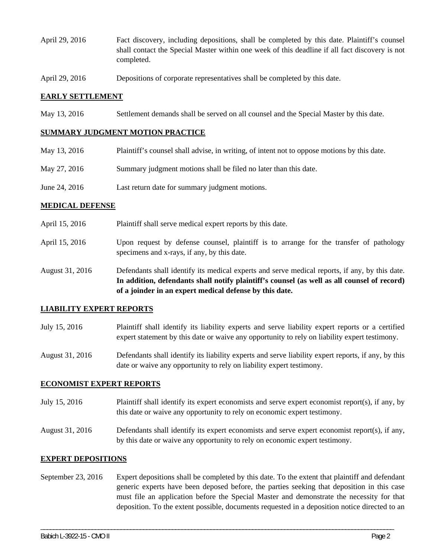- April 29, 2016 Fact discovery, including depositions, shall be completed by this date. Plaintiff's counsel shall contact the Special Master within one week of this deadline if all fact discovery is not completed.
- April 29, 2016 Depositions of corporate representatives shall be completed by this date.

### **EARLY SETTLEMENT**

May 13, 2016 Settlement demands shall be served on all counsel and the Special Master by this date.

## **SUMMARY JUDGMENT MOTION PRACTICE**

| May 13, 2016  | Plaintiff's counsel shall advise, in writing, of intent not to oppose motions by this date. |
|---------------|---------------------------------------------------------------------------------------------|
| May 27, 2016  | Summary judgment motions shall be filed no later than this date.                            |
| June 24, 2016 | Last return date for summary judgment motions.                                              |

#### **MEDICAL DEFENSE**

- April 15, 2016 Plaintiff shall serve medical expert reports by this date.
- April 15, 2016 Upon request by defense counsel, plaintiff is to arrange for the transfer of pathology specimens and x-rays, if any, by this date.
- August 31, 2016 Defendants shall identify its medical experts and serve medical reports, if any, by this date. **In addition, defendants shall notify plaintiff's counsel (as well as all counsel of record) of a joinder in an expert medical defense by this date.**

#### **LIABILITY EXPERT REPORTS**

- July 15, 2016 Plaintiff shall identify its liability experts and serve liability expert reports or a certified expert statement by this date or waive any opportunity to rely on liability expert testimony.
- August 31, 2016 Defendants shall identify its liability experts and serve liability expert reports, if any, by this date or waive any opportunity to rely on liability expert testimony.

## **ECONOMIST EXPERT REPORTS**

- July 15, 2016 Plaintiff shall identify its expert economists and serve expert economist report(s), if any, by this date or waive any opportunity to rely on economic expert testimony.
- August 31, 2016 Defendants shall identify its expert economists and serve expert economist report(s), if any, by this date or waive any opportunity to rely on economic expert testimony.

## **EXPERT DEPOSITIONS**

September 23, 2016 Expert depositions shall be completed by this date. To the extent that plaintiff and defendant generic experts have been deposed before, the parties seeking that deposition in this case must file an application before the Special Master and demonstrate the necessity for that deposition. To the extent possible, documents requested in a deposition notice directed to an

\_\_\_\_\_\_\_\_\_\_\_\_\_\_\_\_\_\_\_\_\_\_\_\_\_\_\_\_\_\_\_\_\_\_\_\_\_\_\_\_\_\_\_\_\_\_\_\_\_\_\_\_\_\_\_\_\_\_\_\_\_\_\_\_\_\_\_\_\_\_\_\_\_\_\_\_\_\_\_\_\_\_\_\_\_\_\_\_\_\_\_\_\_\_\_\_\_\_\_\_\_\_\_\_\_\_\_\_\_\_